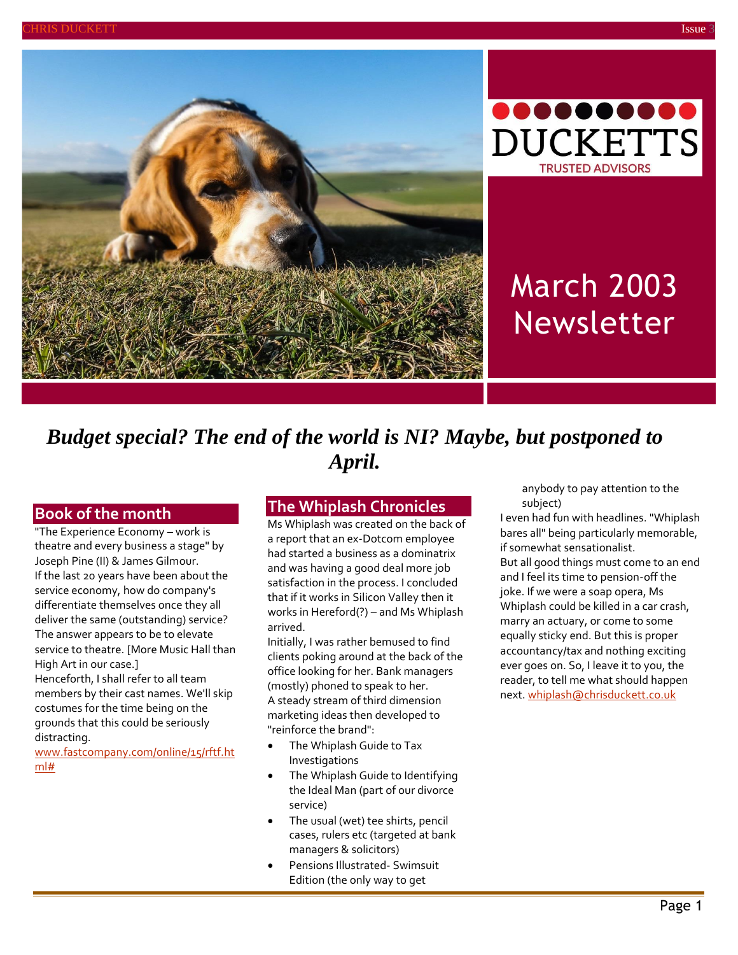



# March 2003 Newsletter

# *Budget special? The end of the world is NI? Maybe, but postponed to April.*

#### **Book of the month**

"The Experience Economy – work is theatre and every business a stage" by Joseph Pine (II) & James Gilmour. If the last 20 years have been about the service economy, how do company's differentiate themselves once they all deliver the same (outstanding) service? The answer appears to be to elevate service to theatre. [More Music Hall than High Art in our case.]

Henceforth, I shall refer to all team members by their cast names. We'll skip costumes for the time being on the grounds that this could be seriously distracting.

[www.fastcompany.com/online/15/rftf.ht](http://www.fastcompany.com/online/15/rftf.html) [ml#](http://www.fastcompany.com/online/15/rftf.html)

#### **The Whiplash Chronicles**

Ms Whiplash was created on the back of a report that an ex-Dotcom employee had started a business as a dominatrix and was having a good deal more job satisfaction in the process. I concluded that if it works in Silicon Valley then it works in Hereford(?) – and Ms Whiplash arrived.

Initially, I was rather bemused to find clients poking around at the back of the office looking for her. Bank managers (mostly) phoned to speak to her. A steady stream of third dimension marketing ideas then developed to "reinforce the brand":

- The Whiplash Guide to Tax Investigations
- The Whiplash Guide to Identifying the Ideal Man (part of our divorce service)
- The usual (wet) tee shirts, pencil cases, rulers etc (targeted at bank managers & solicitors)
- Pensions Illustrated- Swimsuit Edition (the only way to get

anybody to pay attention to the subject)

I even had fun with headlines. "Whiplash bares all" being particularly memorable, if somewhat sensationalist. But all good things must come to an end and I feel its time to pension-off the joke. If we were a soap opera, Ms Whiplash could be killed in a car crash, marry an actuary, or come to some equally sticky end. But this is proper accountancy/tax and nothing exciting ever goes on. So, I leave it to you, the reader, to tell me what should happen next[. whiplash@chrisduckett.co.uk](mailto:whiplash@chrisduckett.co.uk)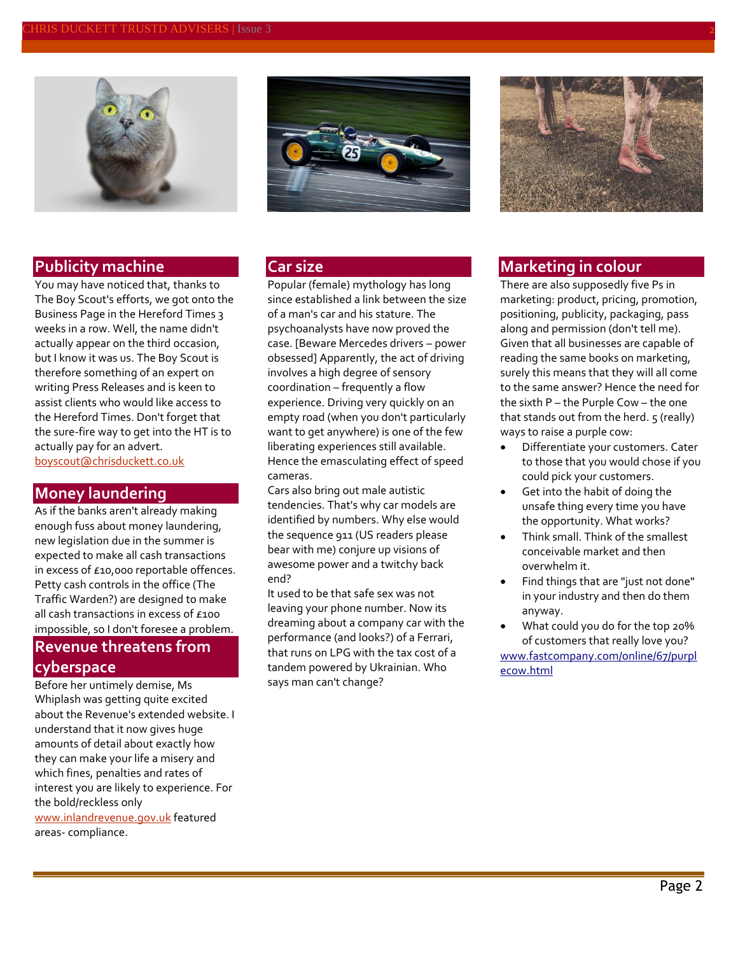

#### **Publicity machine**

You may have noticed that, thanks to The Boy Scout's efforts, we got onto the Business Page in the Hereford Times 3 weeks in a row. Well, the name didn't actually appear on the third occasion, but I know it was us. The Boy Scout is therefore something of an expert on writing Press Releases and is keen to assist clients who would like access to the Hereford Times. Don't forget that the sure-fire way to get into the HT is to actually pay for an advert. [boyscout@chrisduckett.co.uk](mailto:boyscout@chrisduckett.co.uk)

#### **Money laundering**

As if the banks aren't already making enough fuss about money laundering, new legislation due in the summer is expected to make all cash transactions in excess of £10,000 reportable offences. Petty cash controls in the office (The Traffic Warden?) are designed to make all cash transactions in excess of £100 impossible, so I don't foresee a problem. **Revenue threatens from cyberspace**

Before her untimely demise, Ms Whiplash was getting quite excited about the Revenue's extended website. I understand that it now gives huge amounts of detail about exactly how they can make your life a misery and which fines, penalties and rates of interest you are likely to experience. For the bold/reckless only [www.inlandrevenue.gov.uk](http://www.inlandrevenue.gov.uk/) featured areas- compliance.



#### **Car size**

Popular (female) mythology has long since established a link between the size of a man's car and his stature. The psychoanalysts have now proved the case. [Beware Mercedes drivers – power obsessed] Apparently, the act of driving involves a high degree of sensory coordination – frequently a flow experience. Driving very quickly on an empty road (when you don't particularly want to get anywhere) is one of the few liberating experiences still available. Hence the emasculating effect of speed cameras.

Cars also bring out male autistic tendencies. That's why car models are identified by numbers. Why else would the sequence 911 (US readers please bear with me) conjure up visions of awesome power and a twitchy back end?

It used to be that safe sex was not leaving your phone number. Now its dreaming about a company car with the performance (and looks?) of a Ferrari, that runs on LPG with the tax cost of a tandem powered by Ukrainian. Who says man can't change?



#### **Marketing in colour**

There are also supposedly five Ps in marketing: product, pricing, promotion, positioning, publicity, packaging, pass along and permission (don't tell me). Given that all businesses are capable of reading the same books on marketing, surely this means that they will all come to the same answer? Hence the need for the sixth P – the Purple Cow – the one that stands out from the herd.  $5$  (really) ways to raise a purple cow:

- Differentiate your customers. Cater to those that you would chose if you could pick your customers.
- Get into the habit of doing the unsafe thing every time you have the opportunity. What works?
- Think small. Think of the smallest conceivable market and then overwhelm it.
- Find things that are "just not done" in your industry and then do them anyway.
- What could you do for the top 20% of customers that really love you?

[www.fastcompany.com/online/67/purpl](http://www.fastcompany.com/) [ecow.html](http://www.fastcompany.com/)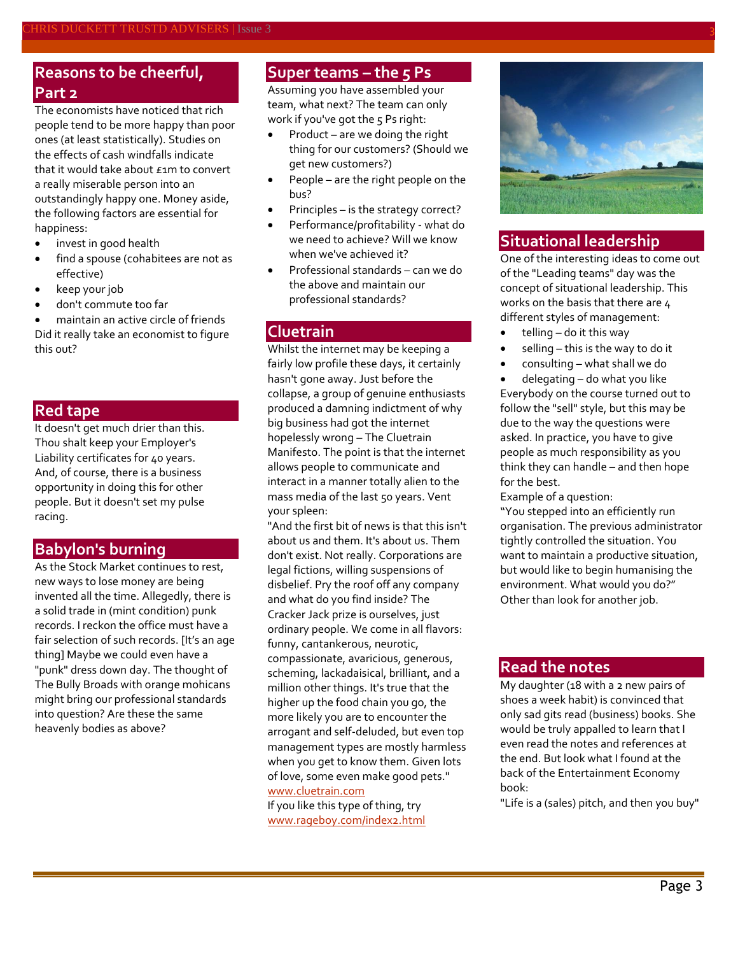## **Reasons to be cheerful, Part 2**

The economists have noticed that rich people tend to be more happy than poor ones (at least statistically). Studies on the effects of cash windfalls indicate that it would take about £1m to convert a really miserable person into an outstandingly happy one. Money aside, the following factors are essential for happiness:

- invest in good health
- find a spouse (cohabitees are not as effective)
- keep your job
- don't commute too far

 maintain an active circle of friends Did it really take an economist to figure this out?

#### **Red tape**

It doesn't get much drier than this. Thou shalt keep your Employer's Liability certificates for 40 years. And, of course, there is a business opportunity in doing this for other people. But it doesn't set my pulse racing.

#### **Babylon's burning**

As the Stock Market continues to rest, new ways to lose money are being invented all the time. Allegedly, there is a solid trade in (mint condition) punk records. I reckon the office must have a fair selection of such records. [It's an age thing] Maybe we could even have a "punk" dress down day. The thought of The Bully Broads with orange mohicans might bring our professional standards into question? Are these the same heavenly bodies as above?

#### **Super teams – the 5 Ps**

Assuming you have assembled your team, what next? The team can only work if you've got the 5 Ps right:

- Product are we doing the right thing for our customers? (Should we get new customers?)
- People are the right people on the bus?
- Principles is the strategy correct?
- Performance/profitability what do we need to achieve? Will we know when we've achieved it?
- Professional standards can we do the above and maintain our professional standards?

#### **Cluetrain**

Whilst the internet may be keeping a fairly low profile these days, it certainly hasn't gone away. Just before the collapse, a group of genuine enthusiasts produced a damning indictment of why big business had got the internet hopelessly wrong – The Cluetrain Manifesto. The point is that the internet allows people to communicate and interact in a manner totally alien to the mass media of the last 50 years. Vent your spleen:

"And the first bit of news is that this isn't about us and them. It's about us. Them don't exist. Not really. Corporations are legal fictions, willing suspensions of disbelief. Pry the roof off any company and what do you find inside? The Cracker Jack prize is ourselves, just ordinary people. We come in all flavors: funny, cantankerous, neurotic, compassionate, avaricious, generous, scheming, lackadaisical, brilliant, and a million other things. It's true that the higher up the food chain you go, the more likely you are to encounter the arrogant and self-deluded, but even top management types are mostly harmless when you get to know them. Given lots of love, some even make good pets." [www.cluetrain.com](http://www.cluetrain.com/)

If you like this type of thing, try [www.rageboy.com/index2.html](http://www.rageboy.com/index2.html)



### **Situational leadership**

One of the interesting ideas to come out of the "Leading teams" day was the concept of situational leadership. This works on the basis that there are 4 different styles of management:

- $\bullet$  telling do it this way
- $\bullet$  selling this is the way to do it
- consulting what shall we do
- delegating do what you like

Everybody on the course turned out to follow the "sell" style, but this may be due to the way the questions were asked. In practice, you have to give people as much responsibility as you think they can handle – and then hope for the best.

Example of a question:

"You stepped into an efficiently run organisation. The previous administrator tightly controlled the situation. You want to maintain a productive situation, but would like to begin humanising the environment. What would you do?" Other than look for another job.

#### **Read the notes**

My daughter (18 with a 2 new pairs of shoes a week habit) is convinced that only sad gits read (business) books. She would be truly appalled to learn that I even read the notes and references at the end. But look what I found at the back of the Entertainment Economy book:

"Life is a (sales) pitch, and then you buy"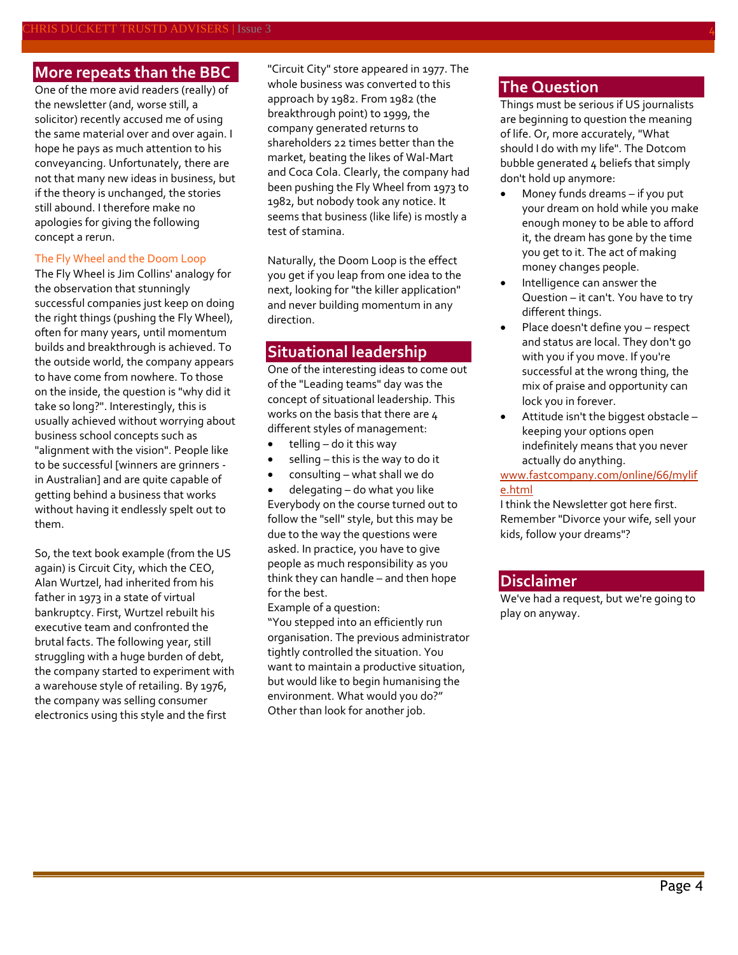#### **More repeats than the BBC**

One of the more avid readers (really) of the newsletter (and, worse still, a solicitor) recently accused me of using the same material over and over again. I hope he pays as much attention to his conveyancing. Unfortunately, there are not that many new ideas in business, but if the theory is unchanged, the stories still abound. I therefore make no apologies for giving the following concept a rerun.

#### The Fly Wheel and the Doom Loop

The Fly Wheel is Jim Collins' analogy for the observation that stunningly successful companies just keep on doing the right things (pushing the Fly Wheel), often for many years, until momentum builds and breakthrough is achieved. To the outside world, the company appears to have come from nowhere. To those on the inside, the question is "why did it take so long?". Interestingly, this is usually achieved without worrying about business school concepts such as "alignment with the vision". People like to be successful [winners are grinners in Australian] and are quite capable of getting behind a business that works without having it endlessly spelt out to them.

So, the text book example (from the US again) is Circuit City, which the CEO, Alan Wurtzel, had inherited from his father in 1973 in a state of virtual bankruptcy. First, Wurtzel rebuilt his executive team and confronted the brutal facts. The following year, still struggling with a huge burden of debt, the company started to experiment with a warehouse style of retailing. By 1976, the company was selling consumer electronics using this style and the first

"Circuit City" store appeared in 1977. The whole business was converted to this approach by 1982. From 1982 (the breakthrough point) to 1999, the company generated returns to shareholders 22 times better than the market, beating the likes of Wal-Mart and Coca Cola. Clearly, the company had been pushing the Fly Wheel from 1973 to 1982, but nobody took any notice. It seems that business (like life) is mostly a test of stamina.

Naturally, the Doom Loop is the effect you get if you leap from one idea to the next, looking for "the killer application" and never building momentum in any direction.

#### **Situational leadership**

One of the interesting ideas to come out of the "Leading teams" day was the concept of situational leadership. This works on the basis that there are 4 different styles of management:

- telling do it this way
- selling this is the way to do it
- consulting what shall we do

 delegating – do what you like Everybody on the course turned out to follow the "sell" style, but this may be due to the way the questions were asked. In practice, you have to give people as much responsibility as you think they can handle – and then hope for the best.

Example of a question:

"You stepped into an efficiently run organisation. The previous administrator tightly controlled the situation. You want to maintain a productive situation, but would like to begin humanising the environment. What would you do?" Other than look for another job.

#### **The Question**

Things must be serious if US journalists are beginning to question the meaning of life. Or, more accurately, "What should I do with my life". The Dotcom bubble generated 4 beliefs that simply don't hold up anymore:

- Money funds dreams if you put your dream on hold while you make enough money to be able to afford it, the dream has gone by the time you get to it. The act of making money changes people.
- Intelligence can answer the Question – it can't. You have to try different things.
- Place doesn't define you respect and status are local. They don't go with you if you move. If you're successful at the wrong thing, the mix of praise and opportunity can lock you in forever.
- Attitude isn't the biggest obstacle keeping your options open indefinitely means that you never actually do anything.

[www.fastcompany.com/online/66/mylif](http://www.fastcompany.com/online/66/mylife.html) [e.html](http://www.fastcompany.com/online/66/mylife.html)

I think the Newsletter got here first. Remember "Divorce your wife, sell your kids, follow your dreams"?

#### **Disclaimer**

We've had a request, but we're going to play on anyway.